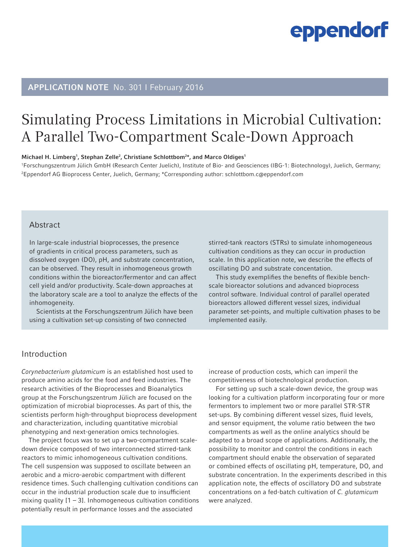#### APPLICATION NOTE No. 301 I February 2016

### Simulating Process Limitations in Microbial Cultivation: A Parallel Two-Compartment Scale-Down Approach

#### Michael H. Limberg<sup>1</sup>, Stephan Zelle<sup>2</sup>, Christiane Schlottbom<sup>2\*</sup>, and Marco Oldiges<sup>1</sup>

1 Forschungszentrum Jülich GmbH (Research Center Juelich), Institute of Bio- and Geosciences (IBG-1: Biotechnology), Juelich, Germany; 2 Eppendorf AG Bioprocess Center, Juelich, Germany; \*Corresponding author: schlottbom.c@eppendorf.com

#### Abstract

In large-scale industrial bioprocesses, the presence of gradients in critical process parameters, such as dissolved oxygen (DO), pH, and substrate concentration, can be observed. They result in inhomogeneous growth conditions within the bioreactor/fermentor and can affect cell yield and/or productivity. Scale-down approaches at the laboratory scale are a tool to analyze the effects of the inhomogeneity.

Scientists at the Forschungszentrum Jülich have been using a cultivation set-up consisting of two connected

stirred-tank reactors (STRs) to simulate inhomogeneous cultivation conditions as they can occur in production scale. In this application note, we describe the effects of oscillating DO and substrate concentation.

This study exemplifies the benefits of flexible benchscale bioreactor solutions and advanced bioprocess control software. Individual control of parallel operated bioreactors allowed different vessel sizes, individual parameter set-points, and multiple cultivation phases to be implemented easily.

#### Introduction

*Corynebacterium glutamicum* is an established host used to produce amino acids for the food and feed industries. The research activities of the Bioprocesses and Bioanalytics group at the Forschungszentrum Jülich are focused on the optimization of microbial bioprocesses. As part of this, the scientists perform high-throughput bioprocess development and characterization, including quantitative microbial phenotyping and next-generation omics technologies.

The project focus was to set up a two-compartment scaledown device composed of two interconnected stirred-tank reactors to mimic inhomogeneous cultivation conditions. The cell suspension was supposed to oscillate between an aerobic and a micro-aerobic compartment with different residence times. Such challenging cultivation conditions can occur in the industrial production scale due to insufficient mixing quality  $[1 - 3]$ . Inhomogeneous cultivation conditions potentially result in performance losses and the associated

increase of production costs, which can imperil the competitiveness of biotechnological production.

For setting up such a scale-down device, the group was looking for a cultivation platform incorporating four or more fermentors to implement two or more parallel STR-STR set-ups. By combining different vessel sizes, fluid levels, and sensor equipment, the volume ratio between the two compartments as well as the online analytics should be adapted to a broad scope of applications. Additionally, the possibility to monitor and control the conditions in each compartment should enable the observation of separated or combined effects of oscillating pH, temperature, DO, and substrate concentration. In the experiments described in this application note, the effects of oscillatory DO and substrate concentrations on a fed-batch cultivation of *C. glutamicum* were analyzed.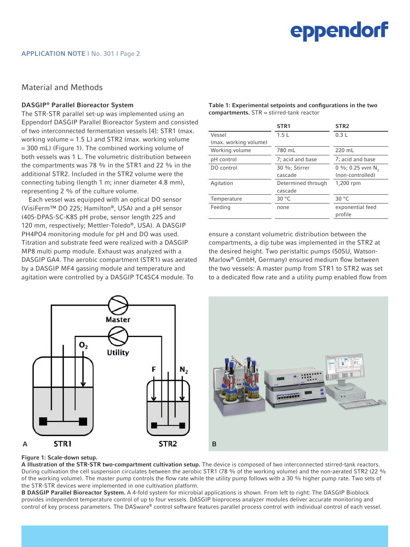#### Material and Methods

#### DASGIP® Parallel Bioreactor System

The STR-STR parallel set-up was implemented using an Eppendorf DASGIP Parallel Bioreactor System and consisted of two interconnected fermentation vessels [4]: STR1 (max. working volume  $= 1.5$  L) and STR2 (max. working volume = 300 mL) (Figure 1). The combined working volume of both vessels was 1 L. The volumetric distribution between the compartments was 78 % in the STR1 and 22 % in the additional STR2. Included in the STR2 volume were the connecting tubing (length 1 m; inner diameter 4.8 mm), representing 2 % of the culture volume.

Each vessel was equipped with an optical DO sensor (VisiFerm™ DO 225; Hamilton®, USA) and a pH sensor (405-DPAS-SC-K8S pH probe, sensor length 225 and 120 mm, respectively; Mettler-Toledo®, USA). A DASGIP PH4PO4 monitoring module for pH and DO was used. Titration and substrate feed were realized with a DASGIP MP8 multi pump module. Exhaust was analyzed with a DASGIP GA4. The aerobic compartment (STR1) was aerated by a DASGIP MF4 gassing module and temperature and agitation were controlled by a DASGIP TC4SC4 module. To

Table 1: Experimental setpoints and configurations in the two compartments. STR = stirred-tank reactor

|                       | STR <sub>1</sub>   | STR <sub>2</sub>             |
|-----------------------|--------------------|------------------------------|
| Vessel                | 1.5L               | 0.3L                         |
| (max. working volume) |                    |                              |
| Working volume        | 780 mL             | 220 mL                       |
| pH control            | 7; acid and base   | 7; acid and base             |
| DO control            | 30 %; Stirrer      | 0 %; 0.25 vvm N <sub>2</sub> |
|                       | cascade            | (non-controlled)             |
| Agitation             | Determined through | 1,200 rpm                    |
|                       | cascade            |                              |
| Temperature           | 30 $^{\circ}$ C    | 30 °C                        |
| Feeding               | none               | exponential feed             |
|                       |                    | profile                      |

ensure a constant volumetric distribution between the compartments, a dip tube was implemented in the STR2 at the desired height. Two peristaltic pumps (505U, Watson-Marlow® GmbH, Germany) ensured medium flow between the two vessels: A master pump from STR1 to STR2 was set to a dedicated flow rate and a utility pump enabled flow from



#### Figure 1: Scale-down setup.

A Illustration of the STR-STR two-compartment cultivation setup. The device is composed of two interconnected stirred-tank reactors. During cultivation the cell suspension circulates between the aerobic STR1 (78 % of the working volume) and the non-aerated STR2 (22 % of the working volume). The master pump controls the flow rate while the utility pump follows with a 30 % higher pump rate. Two sets of the STR-STR devices were implemented in one cultivation platform.

B DASGIP Parallel Bioreactor System. A 4-fold system for microbial applications is shown. From left to right: The DASGIP Bioblock provides independent temperature control of up to four vessels. DASGIP bioprocess analyzer modules deliver accurate monitoring and control of key process parameters. The DASware® control software features parallel process control with individual control of each vessel.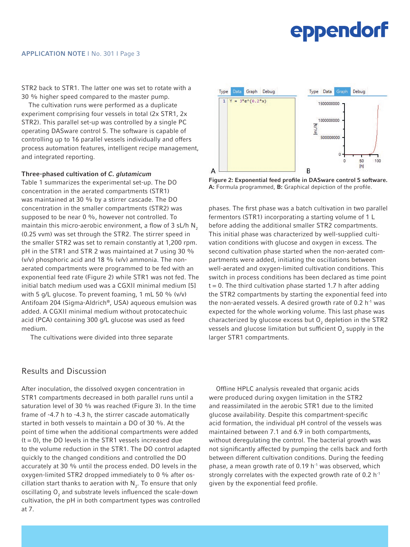STR2 back to STR1. The latter one was set to rotate with a 30 % higher speed compared to the master pump.

The cultivation runs were performed as a duplicate experiment comprising four vessels in total (2x STR1, 2x STR2). This parallel set-up was controlled by a single PC operating DASware control 5. The software is capable of controlling up to 16 parallel vessels individually and offers process automation features, intelligent recipe management, and integrated reporting.

#### Three-phased cultivation of *C. glutamicum*

Table 1 summarizes the experimental set-up. The DO concentration in the aerated compartments (STR1) was maintained at 30 % by a stirrer cascade. The DO concentration in the smaller compartments (STR2) was supposed to be near 0 %, however not controlled. To maintain this micro-aerobic environment, a flow of  $3$  sL/h N<sub>2</sub> (0.25 vvm) was set through the STR2. The stirrer speed in the smaller STR2 was set to remain constantly at 1,200 rpm. pH in the STR1 and STR 2 was maintained at 7 using 30 %  $(v/v)$  phosphoric acid and 18 %  $(v/v)$  ammonia. The nonaerated compartments were programmed to be fed with an exponential feed rate (Figure 2) while STR1 was not fed. The initial batch medium used was a CGXII minimal medium [5] with 5 g/L glucose. To prevent foaming, 1 mL 50 % (v/v) Antifoam 204 (Sigma-Aldrich®, USA) aqueous emulsion was added. A CGXII minimal medium without protocatechuic acid (PCA) containing 300 g/L glucose was used as feed medium.

The cultivations were divided into three separate

#### Results and Discussion

After inoculation, the dissolved oxygen concentration in STR1 compartments decreased in both parallel runs until a saturation level of 30 % was reached (Figure 3). In the time frame of -4.7 h to -4.3 h, the stirrer cascade automatically started in both vessels to maintain a DO of 30 %. At the point of time when the additional compartments were added  $(t = 0)$ , the DO levels in the STR1 vessels increased due to the volume reduction in the STR1. The DO control adapted quickly to the changed conditions and controlled the DO accurately at 30 % until the process ended. DO levels in the oxygen-limited STR2 dropped immediately to 0 % after oscillation start thanks to aeration with  $\mathsf{N}_2$ . To ensure that only oscillating  ${\mathsf O}_2$  and substrate levels influenced the scale-down cultivation, the pH in both compartment types was controlled at 7.



Figure 2: Exponential feed profile in DASware control 5 software. A: Formula programmed, B: Graphical depiction of the profile.

phases. The first phase was a batch cultivation in two parallel fermentors (STR1) incorporating a starting volume of 1 L before adding the additional smaller STR2 compartments. This initial phase was characterized by well-supplied cultivation conditions with glucose and oxygen in excess. The second cultivation phase started when the non-aerated compartments were added, initiating the oscillations between well-aerated and oxygen-limited cultivation conditions. This switch in process conditions has been declared as time point  $t = 0$ . The third cultivation phase started 1.7 h after adding the STR2 compartments by starting the exponential feed into the non-aerated vessels. A desired growth rate of 0.2  $h^{-1}$  was expected for the whole working volume. This last phase was characterized by glucose excess but  $O_2$  depletion in the STR2 vessels and glucose limitation but sufficient  ${\mathsf O}_2$  supply in the larger STR1 compartments.

Offline HPLC analysis revealed that organic acids were produced during oxygen limitation in the STR2 and reassimilated in the aerobic STR1 due to the limited glucose availability. Despite this compartment-specific acid formation, the individual pH control of the vessels was maintained between 7.1 and 6.9 in both compartments, without deregulating the control. The bacterial growth was not significantly affected by pumping the cells back and forth between different cultivation conditions. During the feeding phase, a mean growth rate of  $0.19$  h<sup>-1</sup> was observed, which strongly correlates with the expected growth rate of 0.2 h<sup>1</sup> given by the exponential feed profile.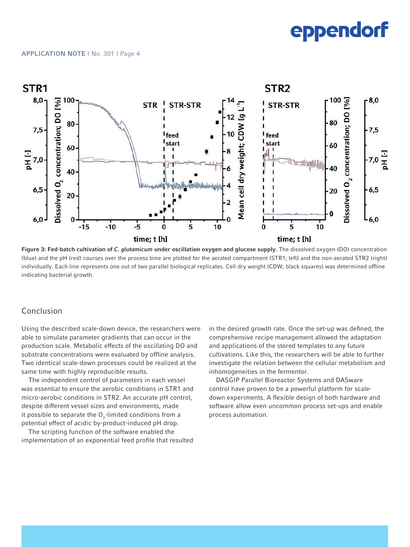#### APPLICATION NOTE I No. 301 I Page 4



Figure 3: Fed-batch cultivation of *C. glutamicum* under oscillation oxygen and glucose supply. The dissolved oxygen (DO) concentration (blue) and the pH (red) courses over the process time are plotted for the aerated compartment (STR1; left) and the non-aerated STR2 (right) individually. Each line represents one out of two parallel biological replicates. Cell dry weight (CDW; black squares) was determined offline indicating bacterial growth.

#### Conclusion

Using the described scale-down device, the researchers were able to simulate parameter gradients that can occur in the production scale. Metabolic effects of the oscillating DO and substrate concentrations were evaluated by offline analysis. Two identical scale-down processes could be realized at the same time with highly reproducible results.

The independent control of parameters in each vessel was essential to ensure the aerobic conditions in STR1 and micro-aerobic conditions in STR2. An accurate pH control, despite different vessel sizes and environments, made it possible to separate the  ${\mathsf O}_2\text{-limited}$  conditions from a potential effect of acidic by-product-induced pH drop.

The scripting function of the software enabled the implementation of an exponential feed profile that resulted in the desired growth rate. Once the set-up was defined, the comprehensive recipe management allowed the adaptation and applications of the stored templates to any future cultivations. Like this, the researchers will be able to further investigate the relation between the cellular metabolism and inhomogeneities in the fermentor.

DASGIP Parallel Bioreactor Systems and DASware control have proven to be a powerful platform for scaledown experiments. A flexible design of both hardware and software allow even uncommon process set-ups and enable process automation.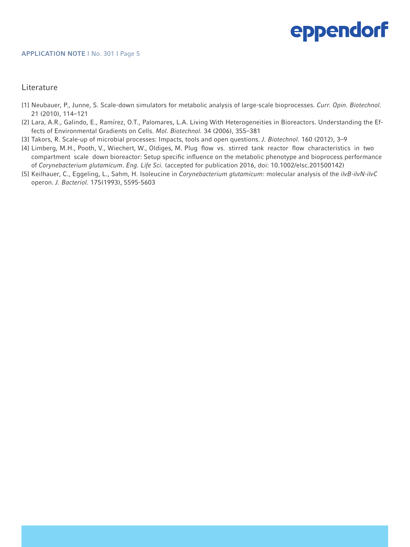#### **Literature**

- [1] Neubauer, P., Junne, S. Scale-down simulators for metabolic analysis of large-scale bioprocesses. *Curr. Opin. Biotechnol.*  21 (2010), 114–121
- [2] Lara, A.R., Galindo, E., Ramírez, O.T., Palomares, L.A. Living With Heterogeneities in Bioreactors. Understanding the Effects of Environmental Gradients on Cells. *Mol. Biotechnol.* 34 (2006), 355–381
- [3] Takors, R. Scale-up of microbial processes: Impacts, tools and open questions. *J. Biotechnol.* 160 (2012), 3–9
- [4] Limberg, M.H., Pooth, V., Wiechert, W., Oldiges, M. Plug flow vs. stirred tank reactor flow characteristics in two compartment scale down bioreactor: Setup specific influence on the metabolic phenotype and bioprocess performance of *Corynebacterium glutamicum*. *Eng. Life Sci.* (accepted for publication 2016, doi: 10.1002/elsc.201500142)
- [5] Keilhauer, C., Eggeling, L., Sahm, H. Isoleucine in *Corynebacterium glutamicum*: molecular analysis of the *ilvB-ilvN-ilvC* operon. *J. Bacteriol.* 175(1993), 5595-5603